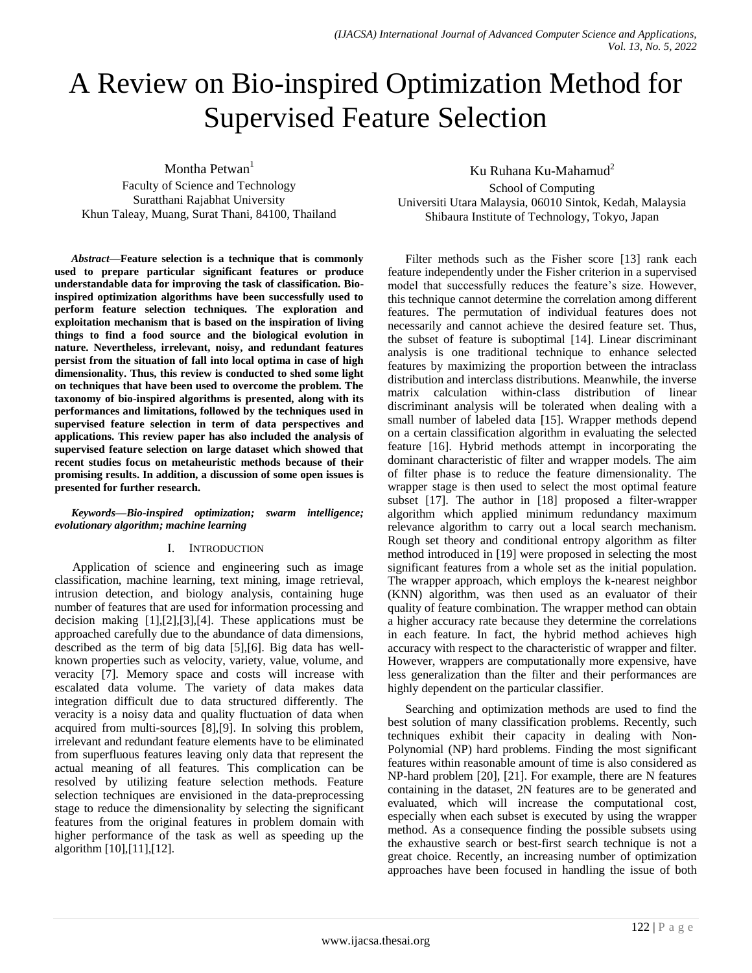# A Review on Bio-inspired Optimization Method for Supervised Feature Selection

Montha Petwan<sup>1</sup>

Faculty of Science and Technology Suratthani Rajabhat University Khun Taleay, Muang, Surat Thani, 84100, Thailand

*Abstract***—Feature selection is a technique that is commonly used to prepare particular significant features or produce understandable data for improving the task of classification. Bioinspired optimization algorithms have been successfully used to perform feature selection techniques. The exploration and exploitation mechanism that is based on the inspiration of living things to find a food source and the biological evolution in nature. Nevertheless, irrelevant, noisy, and redundant features persist from the situation of fall into local optima in case of high dimensionality. Thus, this review is conducted to shed some light on techniques that have been used to overcome the problem. The taxonomy of bio-inspired algorithms is presented, along with its performances and limitations, followed by the techniques used in supervised feature selection in term of data perspectives and applications. This review paper has also included the analysis of supervised feature selection on large dataset which showed that recent studies focus on metaheuristic methods because of their promising results. In addition, a discussion of some open issues is presented for further research.**

#### *Keywords—Bio-inspired optimization; swarm intelligence; evolutionary algorithm; machine learning*

#### I. INTRODUCTION

Application of science and engineering such as image classification, machine learning, text mining, image retrieval, intrusion detection, and biology analysis, containing huge number of features that are used for information processing and decision making [1],[2],[3],[4]. These applications must be approached carefully due to the abundance of data dimensions, described as the term of big data [5],[6]. Big data has wellknown properties such as velocity, variety, value, volume, and veracity [7]. Memory space and costs will increase with escalated data volume. The variety of data makes data integration difficult due to data structured differently. The veracity is a noisy data and quality fluctuation of data when acquired from multi-sources [8],[9]. In solving this problem, irrelevant and redundant feature elements have to be eliminated from superfluous features leaving only data that represent the actual meaning of all features. This complication can be resolved by utilizing feature selection methods. Feature selection techniques are envisioned in the data-preprocessing stage to reduce the dimensionality by selecting the significant features from the original features in problem domain with higher performance of the task as well as speeding up the algorithm [10],[11],[12].

Ku Ruhana Ku-Mahamud<sup>2</sup>

School of Computing Universiti Utara Malaysia, 06010 Sintok, Kedah, Malaysia Shibaura Institute of Technology, Tokyo, Japan

Filter methods such as the Fisher score [13] rank each feature independently under the Fisher criterion in a supervised model that successfully reduces the feature's size. However, this technique cannot determine the correlation among different features. The permutation of individual features does not necessarily and cannot achieve the desired feature set. Thus, the subset of feature is suboptimal [14]. Linear discriminant analysis is one traditional technique to enhance selected features by maximizing the proportion between the intraclass distribution and interclass distributions. Meanwhile, the inverse matrix calculation within-class distribution of linear discriminant analysis will be tolerated when dealing with a small number of labeled data [15]. Wrapper methods depend on a certain classification algorithm in evaluating the selected feature [16]. Hybrid methods attempt in incorporating the dominant characteristic of filter and wrapper models. The aim of filter phase is to reduce the feature dimensionality. The wrapper stage is then used to select the most optimal feature subset [17]. The author in [18] proposed a filter-wrapper algorithm which applied minimum redundancy maximum relevance algorithm to carry out a local search mechanism. Rough set theory and conditional entropy algorithm as filter method introduced in [19] were proposed in selecting the most significant features from a whole set as the initial population. The wrapper approach, which employs the k-nearest neighbor (KNN) algorithm, was then used as an evaluator of their quality of feature combination. The wrapper method can obtain a higher accuracy rate because they determine the correlations in each feature. In fact, the hybrid method achieves high accuracy with respect to the characteristic of wrapper and filter. However, wrappers are computationally more expensive, have less generalization than the filter and their performances are highly dependent on the particular classifier.

Searching and optimization methods are used to find the best solution of many classification problems. Recently, such techniques exhibit their capacity in dealing with Non-Polynomial (NP) hard problems. Finding the most significant features within reasonable amount of time is also considered as NP-hard problem [20], [21]. For example, there are N features containing in the dataset, 2N features are to be generated and evaluated, which will increase the computational cost, especially when each subset is executed by using the wrapper method. As a consequence finding the possible subsets using the exhaustive search or best-first search technique is not a great choice. Recently, an increasing number of optimization approaches have been focused in handling the issue of both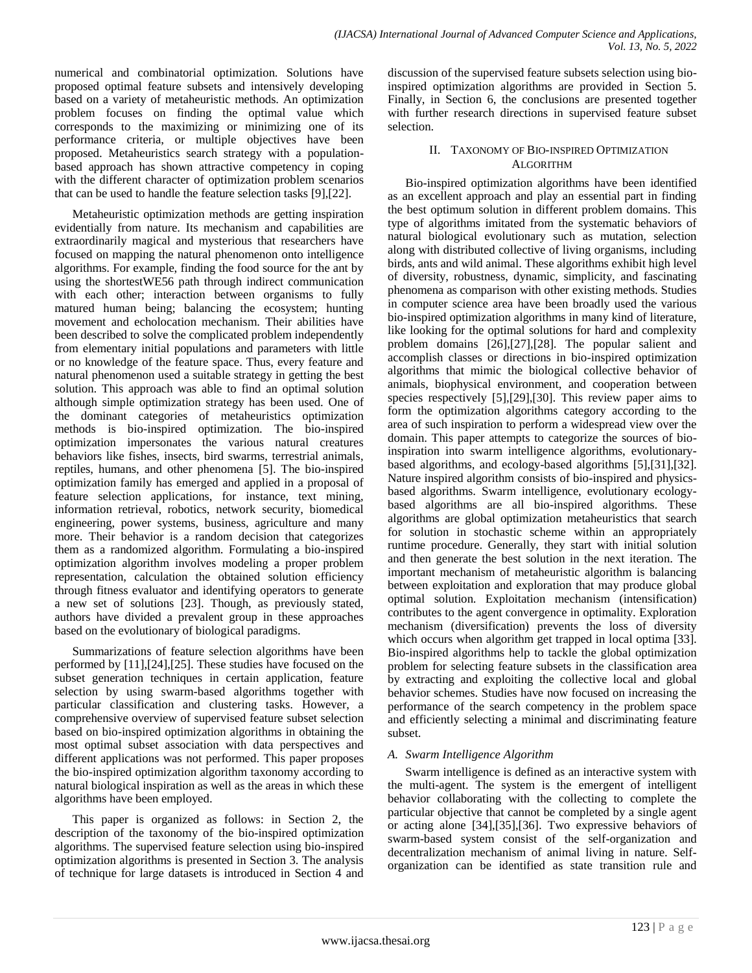numerical and combinatorial optimization. Solutions have proposed optimal feature subsets and intensively developing based on a variety of metaheuristic methods. An optimization problem focuses on finding the optimal value which corresponds to the maximizing or minimizing one of its performance criteria, or multiple objectives have been proposed. Metaheuristics search strategy with a populationbased approach has shown attractive competency in coping with the different character of optimization problem scenarios that can be used to handle the feature selection tasks [9],[22].

Metaheuristic optimization methods are getting inspiration evidentially from nature. Its mechanism and capabilities are extraordinarily magical and mysterious that researchers have focused on mapping the natural phenomenon onto intelligence algorithms. For example, finding the food source for the ant by using the shortestWE56 path through indirect communication with each other; interaction between organisms to fully matured human being; balancing the ecosystem; hunting movement and echolocation mechanism. Their abilities have been described to solve the complicated problem independently from elementary initial populations and parameters with little or no knowledge of the feature space. Thus, every feature and natural phenomenon used a suitable strategy in getting the best solution. This approach was able to find an optimal solution although simple optimization strategy has been used. One of the dominant categories of metaheuristics optimization methods is bio-inspired optimization. The bio-inspired optimization impersonates the various natural creatures behaviors like fishes, insects, bird swarms, terrestrial animals, reptiles, humans, and other phenomena [5]. The bio-inspired optimization family has emerged and applied in a proposal of feature selection applications, for instance, text mining, information retrieval, robotics, network security, biomedical engineering, power systems, business, agriculture and many more. Their behavior is a random decision that categorizes them as a randomized algorithm. Formulating a bio-inspired optimization algorithm involves modeling a proper problem representation, calculation the obtained solution efficiency through fitness evaluator and identifying operators to generate a new set of solutions [23]. Though, as previously stated, authors have divided a prevalent group in these approaches based on the evolutionary of biological paradigms.

Summarizations of feature selection algorithms have been performed by [11],[24],[25]. These studies have focused on the subset generation techniques in certain application, feature selection by using swarm-based algorithms together with particular classification and clustering tasks. However, a comprehensive overview of supervised feature subset selection based on bio-inspired optimization algorithms in obtaining the most optimal subset association with data perspectives and different applications was not performed. This paper proposes the bio-inspired optimization algorithm taxonomy according to natural biological inspiration as well as the areas in which these algorithms have been employed.

This paper is organized as follows: in Section 2, the description of the taxonomy of the bio-inspired optimization algorithms. The supervised feature selection using bio-inspired optimization algorithms is presented in Section 3. The analysis of technique for large datasets is introduced in Section 4 and discussion of the supervised feature subsets selection using bioinspired optimization algorithms are provided in Section 5. Finally, in Section 6, the conclusions are presented together with further research directions in supervised feature subset selection.

## II. TAXONOMY OF BIO-INSPIRED OPTIMIZATION ALGORITHM

Bio-inspired optimization algorithms have been identified as an excellent approach and play an essential part in finding the best optimum solution in different problem domains. This type of algorithms imitated from the systematic behaviors of natural biological evolutionary such as mutation, selection along with distributed collective of living organisms, including birds, ants and wild animal. These algorithms exhibit high level of diversity, robustness, dynamic, simplicity, and fascinating phenomena as comparison with other existing methods. Studies in computer science area have been broadly used the various bio-inspired optimization algorithms in many kind of literature, like looking for the optimal solutions for hard and complexity problem domains [26],[27],[28]. The popular salient and accomplish classes or directions in bio-inspired optimization algorithms that mimic the biological collective behavior of animals, biophysical environment, and cooperation between species respectively [5],[29],[30]. This review paper aims to form the optimization algorithms category according to the area of such inspiration to perform a widespread view over the domain. This paper attempts to categorize the sources of bioinspiration into swarm intelligence algorithms, evolutionarybased algorithms, and ecology-based algorithms [5],[31],[32]. Nature inspired algorithm consists of bio-inspired and physicsbased algorithms. Swarm intelligence, evolutionary ecologybased algorithms are all bio-inspired algorithms. These algorithms are global optimization metaheuristics that search for solution in stochastic scheme within an appropriately runtime procedure. Generally, they start with initial solution and then generate the best solution in the next iteration. The important mechanism of metaheuristic algorithm is balancing between exploitation and exploration that may produce global optimal solution. Exploitation mechanism (intensification) contributes to the agent convergence in optimality. Exploration mechanism (diversification) prevents the loss of diversity which occurs when algorithm get trapped in local optima [33]. Bio-inspired algorithms help to tackle the global optimization problem for selecting feature subsets in the classification area by extracting and exploiting the collective local and global behavior schemes. Studies have now focused on increasing the performance of the search competency in the problem space and efficiently selecting a minimal and discriminating feature subset.

## *A. Swarm Intelligence Algorithm*

Swarm intelligence is defined as an interactive system with the multi-agent. The system is the emergent of intelligent behavior collaborating with the collecting to complete the particular objective that cannot be completed by a single agent or acting alone [34],[35],[36]. Two expressive behaviors of swarm-based system consist of the self-organization and decentralization mechanism of animal living in nature. Selforganization can be identified as state transition rule and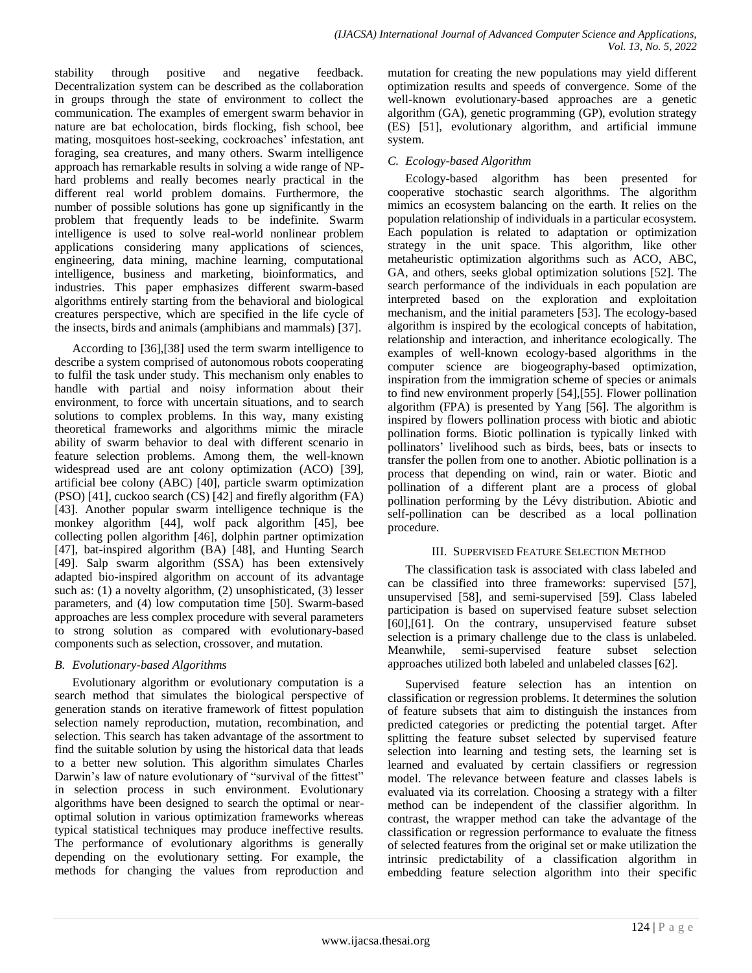stability through positive and negative feedback. Decentralization system can be described as the collaboration in groups through the state of environment to collect the communication. The examples of emergent swarm behavior in nature are bat echolocation, birds flocking, fish school, bee mating, mosquitoes host-seeking, cockroaches' infestation, ant foraging, sea creatures, and many others. Swarm intelligence approach has remarkable results in solving a wide range of NPhard problems and really becomes nearly practical in the different real world problem domains. Furthermore, the number of possible solutions has gone up significantly in the problem that frequently leads to be indefinite. Swarm intelligence is used to solve real-world nonlinear problem applications considering many applications of sciences, engineering, data mining, machine learning, computational intelligence, business and marketing, bioinformatics, and industries. This paper emphasizes different swarm-based algorithms entirely starting from the behavioral and biological creatures perspective, which are specified in the life cycle of the insects, birds and animals (amphibians and mammals) [37].

According to [36],[38] used the term swarm intelligence to describe a system comprised of autonomous robots cooperating to fulfil the task under study. This mechanism only enables to handle with partial and noisy information about their environment, to force with uncertain situations, and to search solutions to complex problems. In this way, many existing theoretical frameworks and algorithms mimic the miracle ability of swarm behavior to deal with different scenario in feature selection problems. Among them, the well-known widespread used are ant colony optimization (ACO) [39], artificial bee colony (ABC) [40], particle swarm optimization (PSO) [41], cuckoo search (CS) [42] and firefly algorithm (FA) [43]. Another popular swarm intelligence technique is the monkey algorithm [44], wolf pack algorithm [45], bee collecting pollen algorithm [46], dolphin partner optimization [47], bat-inspired algorithm (BA) [48], and Hunting Search [49]. Salp swarm algorithm (SSA) has been extensively adapted bio-inspired algorithm on account of its advantage such as: (1) a novelty algorithm, (2) unsophisticated, (3) lesser parameters, and (4) low computation time [50]. Swarm-based approaches are less complex procedure with several parameters to strong solution as compared with evolutionary-based components such as selection, crossover, and mutation.

# *B. Evolutionary-based Algorithms*

Evolutionary algorithm or evolutionary computation is a search method that simulates the biological perspective of generation stands on iterative framework of fittest population selection namely reproduction, mutation, recombination, and selection. This search has taken advantage of the assortment to find the suitable solution by using the historical data that leads to a better new solution. This algorithm simulates Charles Darwin"s law of nature evolutionary of "survival of the fittest" in selection process in such environment. Evolutionary algorithms have been designed to search the optimal or nearoptimal solution in various optimization frameworks whereas typical statistical techniques may produce ineffective results. The performance of evolutionary algorithms is generally depending on the evolutionary setting. For example, the methods for changing the values from reproduction and

mutation for creating the new populations may yield different optimization results and speeds of convergence. Some of the well-known evolutionary-based approaches are a genetic algorithm (GA), genetic programming (GP), evolution strategy (ES) [51], evolutionary algorithm, and artificial immune system.

# *C. Ecology-based Algorithm*

Ecology-based algorithm has been presented for cooperative stochastic search algorithms. The algorithm mimics an ecosystem balancing on the earth. It relies on the population relationship of individuals in a particular ecosystem. Each population is related to adaptation or optimization strategy in the unit space. This algorithm, like other metaheuristic optimization algorithms such as ACO, ABC, GA, and others, seeks global optimization solutions [52]. The search performance of the individuals in each population are interpreted based on the exploration and exploitation mechanism, and the initial parameters [53]. The ecology-based algorithm is inspired by the ecological concepts of habitation, relationship and interaction, and inheritance ecologically. The examples of well-known ecology-based algorithms in the computer science are biogeography-based optimization, inspiration from the immigration scheme of species or animals to find new environment properly [54],[55]. Flower pollination algorithm (FPA) is presented by Yang [56]. The algorithm is inspired by flowers pollination process with biotic and abiotic pollination forms. Biotic pollination is typically linked with pollinators" livelihood such as birds, bees, bats or insects to transfer the pollen from one to another. Abiotic pollination is a process that depending on wind, rain or water. Biotic and pollination of a different plant are a process of global pollination performing by the Lévy distribution. Abiotic and self-pollination can be described as a local pollination procedure.

## III. SUPERVISED FEATURE SELECTION METHOD

The classification task is associated with class labeled and can be classified into three frameworks: supervised [57], unsupervised [58], and semi-supervised [59]. Class labeled participation is based on supervised feature subset selection [60],[61]. On the contrary, unsupervised feature subset selection is a primary challenge due to the class is unlabeled. Meanwhile, semi-supervised feature subset selection approaches utilized both labeled and unlabeled classes [62].

Supervised feature selection has an intention on classification or regression problems. It determines the solution of feature subsets that aim to distinguish the instances from predicted categories or predicting the potential target. After splitting the feature subset selected by supervised feature selection into learning and testing sets, the learning set is learned and evaluated by certain classifiers or regression model. The relevance between feature and classes labels is evaluated via its correlation. Choosing a strategy with a filter method can be independent of the classifier algorithm. In contrast, the wrapper method can take the advantage of the classification or regression performance to evaluate the fitness of selected features from the original set or make utilization the intrinsic predictability of a classification algorithm in embedding feature selection algorithm into their specific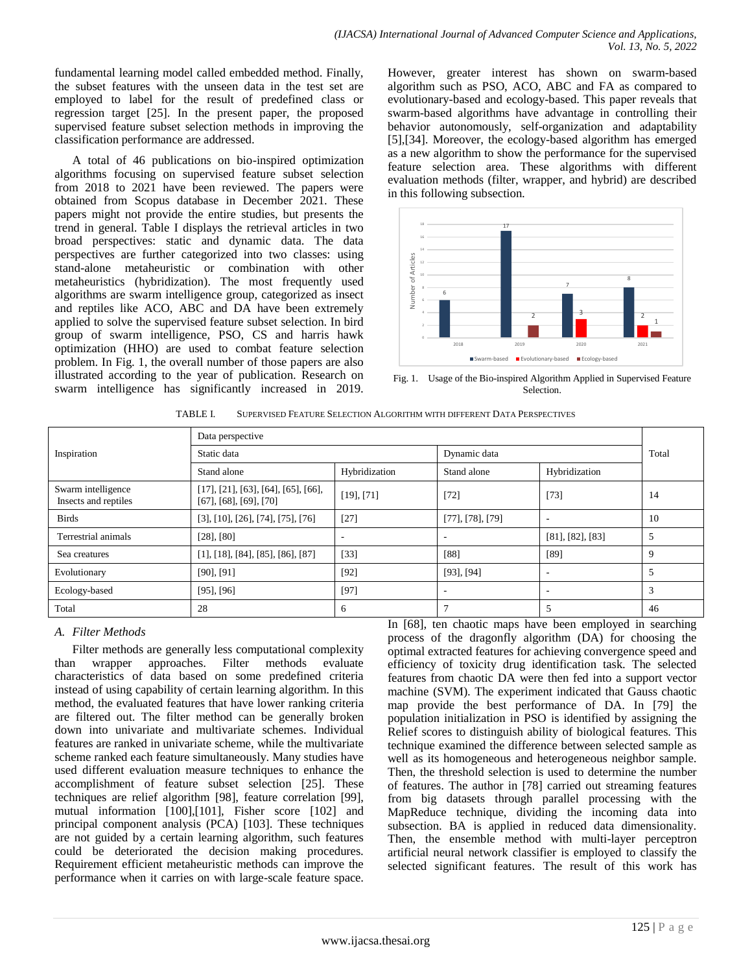fundamental learning model called embedded method. Finally, the subset features with the unseen data in the test set are employed to label for the result of predefined class or regression target [25]. In the present paper, the proposed supervised feature subset selection methods in improving the classification performance are addressed.

A total of 46 publications on bio-inspired optimization algorithms focusing on supervised feature subset selection from 2018 to 2021 have been reviewed. The papers were obtained from Scopus database in December 2021. These papers might not provide the entire studies, but presents the trend in general. Table I displays the retrieval articles in two broad perspectives: static and dynamic data. The data perspectives are further categorized into two classes: using stand-alone metaheuristic or combination with other metaheuristics (hybridization). The most frequently used algorithms are swarm intelligence group, categorized as insect and reptiles like ACO, ABC and DA have been extremely applied to solve the supervised feature subset selection. In bird group of swarm intelligence, PSO, CS and harris hawk optimization (HHO) are used to combat feature selection problem. In Fig. 1, the overall number of those papers are also illustrated according to the year of publication. Research on swarm intelligence has significantly increased in 2019. However, greater interest has shown on swarm-based algorithm such as PSO, ACO, ABC and FA as compared to evolutionary-based and ecology-based. This paper reveals that swarm-based algorithms have advantage in controlling their behavior autonomously, self-organization and adaptability [5],[34]. Moreover, the ecology-based algorithm has emerged as a new algorithm to show the performance for the supervised feature selection area. These algorithms with different evaluation methods (filter, wrapper, and hybrid) are described in this following subsection.



Fig. 1. Usage of the Bio-inspired Algorithm Applied in Supervised Feature Selection.

| TABLE I. | SUPERVISED FEATURE SELECTION ALGORITHM WITH DIFFERENT DATA PERSPECTIVES |
|----------|-------------------------------------------------------------------------|
|          |                                                                         |

|                                            | Data perspective                                                         |                          |                          |                          |       |  |
|--------------------------------------------|--------------------------------------------------------------------------|--------------------------|--------------------------|--------------------------|-------|--|
| Inspiration                                | Static data                                                              |                          | Dynamic data             |                          | Total |  |
|                                            | Hybridization<br>Stand alone                                             |                          | Stand alone              | Hybridization            |       |  |
| Swarm intelligence<br>Insects and reptiles | [17], [21], [63], [64], [65], [66],<br>$[67]$ , $[68]$ , $[69]$ , $[70]$ | $[19]$ , $[71]$          | $[72]$                   | $[73]$                   | 14    |  |
| <b>Birds</b>                               | [3], [10], [26], [74], [75], [76]                                        | $[27]$                   | $[77]$ , [78], [79]      |                          | 10    |  |
| Terrestrial animals                        | $[28]$ , $[80]$                                                          | $\overline{\phantom{a}}$ | $\overline{\phantom{a}}$ | $[81]$ , $[82]$ , $[83]$ | 5     |  |
| Sea creatures                              | $[1]$ , [18], [84], [85], [86], [87]                                     | $[33]$                   | $[88]$                   | [89]                     | 9     |  |
| Evolutionary                               | $[90]$ , $[91]$                                                          | $[92]$                   | $[93]$ , $[94]$          |                          | 5     |  |
| Ecology-based                              | $[95]$ , $[96]$                                                          | $[97]$                   | ٠                        |                          | 3     |  |
| Total                                      | 28                                                                       | 6                        | Ξ                        |                          | 46    |  |

## *A. Filter Methods*

Filter methods are generally less computational complexity than wrapper approaches. Filter methods evaluate characteristics of data based on some predefined criteria instead of using capability of certain learning algorithm. In this method, the evaluated features that have lower ranking criteria are filtered out. The filter method can be generally broken down into univariate and multivariate schemes. Individual features are ranked in univariate scheme, while the multivariate scheme ranked each feature simultaneously. Many studies have used different evaluation measure techniques to enhance the accomplishment of feature subset selection [25]. These techniques are relief algorithm [98], feature correlation [99], mutual information [100],[101], Fisher score [102] and principal component analysis (PCA) [103]. These techniques are not guided by a certain learning algorithm, such features could be deteriorated the decision making procedures. Requirement efficient metaheuristic methods can improve the performance when it carries on with large-scale feature space. In [68], ten chaotic maps have been employed in searching process of the dragonfly algorithm (DA) for choosing the optimal extracted features for achieving convergence speed and efficiency of toxicity drug identification task. The selected features from chaotic DA were then fed into a support vector machine (SVM). The experiment indicated that Gauss chaotic map provide the best performance of DA. In [79] the population initialization in PSO is identified by assigning the Relief scores to distinguish ability of biological features. This technique examined the difference between selected sample as well as its homogeneous and heterogeneous neighbor sample. Then, the threshold selection is used to determine the number of features. The author in [78] carried out streaming features from big datasets through parallel processing with the MapReduce technique, dividing the incoming data into subsection. BA is applied in reduced data dimensionality. Then, the ensemble method with multi-layer perceptron artificial neural network classifier is employed to classify the selected significant features. The result of this work has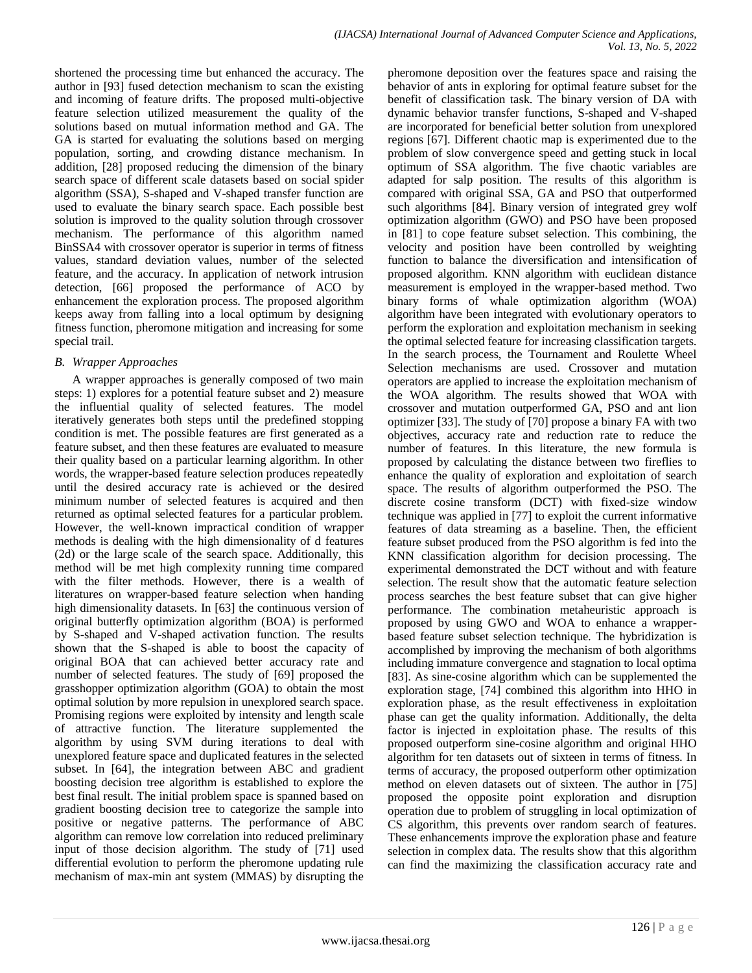shortened the processing time but enhanced the accuracy. The author in [93] fused detection mechanism to scan the existing and incoming of feature drifts. The proposed multi-objective feature selection utilized measurement the quality of the solutions based on mutual information method and GA. The GA is started for evaluating the solutions based on merging population, sorting, and crowding distance mechanism. In addition, [28] proposed reducing the dimension of the binary search space of different scale datasets based on social spider algorithm (SSA), S-shaped and V-shaped transfer function are used to evaluate the binary search space. Each possible best solution is improved to the quality solution through crossover mechanism. The performance of this algorithm named BinSSA4 with crossover operator is superior in terms of fitness values, standard deviation values, number of the selected feature, and the accuracy. In application of network intrusion detection, [66] proposed the performance of ACO by enhancement the exploration process. The proposed algorithm keeps away from falling into a local optimum by designing fitness function, pheromone mitigation and increasing for some special trail.

#### *B. Wrapper Approaches*

A wrapper approaches is generally composed of two main steps: 1) explores for a potential feature subset and 2) measure the influential quality of selected features. The model iteratively generates both steps until the predefined stopping condition is met. The possible features are first generated as a feature subset, and then these features are evaluated to measure their quality based on a particular learning algorithm. In other words, the wrapper-based feature selection produces repeatedly until the desired accuracy rate is achieved or the desired minimum number of selected features is acquired and then returned as optimal selected features for a particular problem. However, the well-known impractical condition of wrapper methods is dealing with the high dimensionality of d features (2d) or the large scale of the search space. Additionally, this method will be met high complexity running time compared with the filter methods. However, there is a wealth of literatures on wrapper-based feature selection when handing high dimensionality datasets. In [63] the continuous version of original butterfly optimization algorithm (BOA) is performed by S-shaped and V-shaped activation function. The results shown that the S-shaped is able to boost the capacity of original BOA that can achieved better accuracy rate and number of selected features. The study of [69] proposed the grasshopper optimization algorithm (GOA) to obtain the most optimal solution by more repulsion in unexplored search space. Promising regions were exploited by intensity and length scale of attractive function. The literature supplemented the algorithm by using SVM during iterations to deal with unexplored feature space and duplicated features in the selected subset. In [64], the integration between ABC and gradient boosting decision tree algorithm is established to explore the best final result. The initial problem space is spanned based on gradient boosting decision tree to categorize the sample into positive or negative patterns. The performance of ABC algorithm can remove low correlation into reduced preliminary input of those decision algorithm. The study of [71] used differential evolution to perform the pheromone updating rule mechanism of max-min ant system (MMAS) by disrupting the

pheromone deposition over the features space and raising the behavior of ants in exploring for optimal feature subset for the benefit of classification task. The binary version of DA with dynamic behavior transfer functions, S-shaped and V-shaped are incorporated for beneficial better solution from unexplored regions [67]. Different chaotic map is experimented due to the problem of slow convergence speed and getting stuck in local optimum of SSA algorithm. The five chaotic variables are adapted for salp position. The results of this algorithm is compared with original SSA, GA and PSO that outperformed such algorithms [84]. Binary version of integrated grey wolf optimization algorithm (GWO) and PSO have been proposed in [81] to cope feature subset selection. This combining, the velocity and position have been controlled by weighting function to balance the diversification and intensification of proposed algorithm. KNN algorithm with euclidean distance measurement is employed in the wrapper-based method. Two binary forms of whale optimization algorithm (WOA) algorithm have been integrated with evolutionary operators to perform the exploration and exploitation mechanism in seeking the optimal selected feature for increasing classification targets. In the search process, the Tournament and Roulette Wheel Selection mechanisms are used. Crossover and mutation operators are applied to increase the exploitation mechanism of the WOA algorithm. The results showed that WOA with crossover and mutation outperformed GA, PSO and ant lion optimizer [33]. The study of [70] propose a binary FA with two objectives, accuracy rate and reduction rate to reduce the number of features. In this literature, the new formula is proposed by calculating the distance between two fireflies to enhance the quality of exploration and exploitation of search space. The results of algorithm outperformed the PSO. The discrete cosine transform (DCT) with fixed-size window technique was applied in [77] to exploit the current informative features of data streaming as a baseline. Then, the efficient feature subset produced from the PSO algorithm is fed into the KNN classification algorithm for decision processing. The experimental demonstrated the DCT without and with feature selection. The result show that the automatic feature selection process searches the best feature subset that can give higher performance. The combination metaheuristic approach is proposed by using GWO and WOA to enhance a wrapperbased feature subset selection technique. The hybridization is accomplished by improving the mechanism of both algorithms including immature convergence and stagnation to local optima [83]. As sine-cosine algorithm which can be supplemented the exploration stage, [74] combined this algorithm into HHO in exploration phase, as the result effectiveness in exploitation phase can get the quality information. Additionally, the delta factor is injected in exploitation phase. The results of this proposed outperform sine-cosine algorithm and original HHO algorithm for ten datasets out of sixteen in terms of fitness. In terms of accuracy, the proposed outperform other optimization method on eleven datasets out of sixteen. The author in [75] proposed the opposite point exploration and disruption operation due to problem of struggling in local optimization of CS algorithm, this prevents over random search of features. These enhancements improve the exploration phase and feature selection in complex data. The results show that this algorithm can find the maximizing the classification accuracy rate and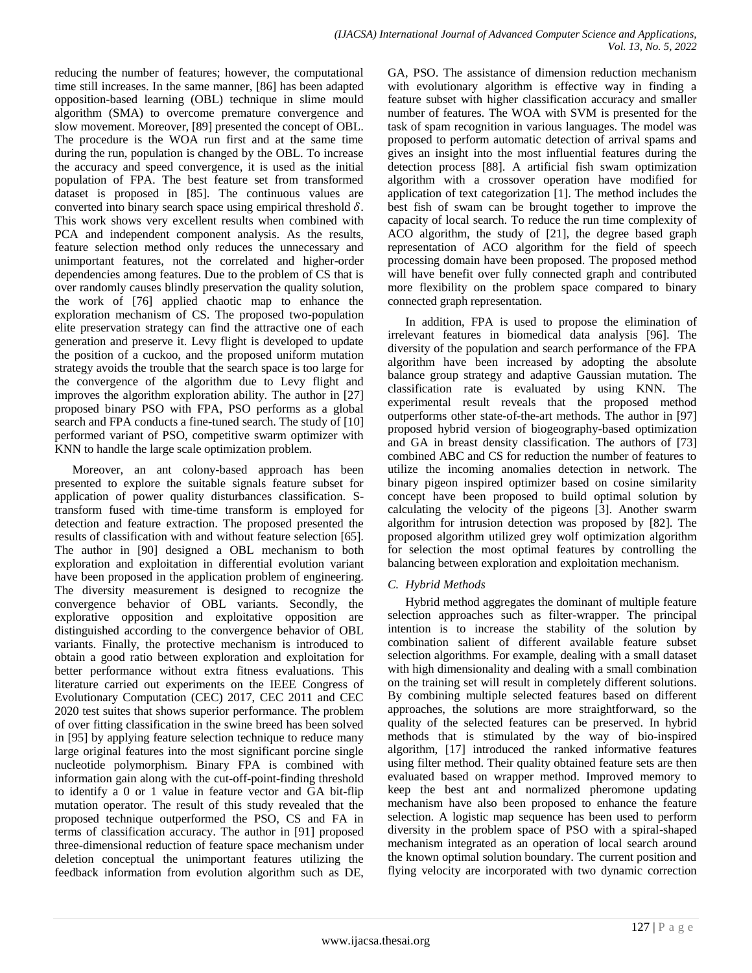reducing the number of features; however, the computational time still increases. In the same manner, [86] has been adapted opposition-based learning (OBL) technique in slime mould algorithm (SMA) to overcome premature convergence and slow movement. Moreover, [89] presented the concept of OBL. The procedure is the WOA run first and at the same time during the run, population is changed by the OBL. To increase the accuracy and speed convergence, it is used as the initial population of FPA. The best feature set from transformed dataset is proposed in [85]. The continuous values are converted into binary search space using empirical threshold  $\delta$ . This work shows very excellent results when combined with PCA and independent component analysis. As the results, feature selection method only reduces the unnecessary and unimportant features, not the correlated and higher-order dependencies among features. Due to the problem of CS that is over randomly causes blindly preservation the quality solution, the work of [76] applied chaotic map to enhance the exploration mechanism of CS. The proposed two-population elite preservation strategy can find the attractive one of each generation and preserve it. Levy flight is developed to update the position of a cuckoo, and the proposed uniform mutation strategy avoids the trouble that the search space is too large for the convergence of the algorithm due to Levy flight and improves the algorithm exploration ability. The author in [27] proposed binary PSO with FPA, PSO performs as a global search and FPA conducts a fine-tuned search. The study of [10] performed variant of PSO, competitive swarm optimizer with KNN to handle the large scale optimization problem.

Moreover, an ant colony-based approach has been presented to explore the suitable signals feature subset for application of power quality disturbances classification. Stransform fused with time-time transform is employed for detection and feature extraction. The proposed presented the results of classification with and without feature selection [65]. The author in [90] designed a OBL mechanism to both exploration and exploitation in differential evolution variant have been proposed in the application problem of engineering. The diversity measurement is designed to recognize the convergence behavior of OBL variants. Secondly, the explorative opposition and exploitative opposition are distinguished according to the convergence behavior of OBL variants. Finally, the protective mechanism is introduced to obtain a good ratio between exploration and exploitation for better performance without extra fitness evaluations. This literature carried out experiments on the IEEE Congress of Evolutionary Computation (CEC) 2017, CEC 2011 and CEC 2020 test suites that shows superior performance. The problem of over fitting classification in the swine breed has been solved in [95] by applying feature selection technique to reduce many large original features into the most significant porcine single nucleotide polymorphism. Binary FPA is combined with information gain along with the cut-off-point-finding threshold to identify a 0 or 1 value in feature vector and GA bit-flip mutation operator. The result of this study revealed that the proposed technique outperformed the PSO, CS and FA in terms of classification accuracy. The author in [91] proposed three-dimensional reduction of feature space mechanism under deletion conceptual the unimportant features utilizing the feedback information from evolution algorithm such as DE,

GA, PSO. The assistance of dimension reduction mechanism with evolutionary algorithm is effective way in finding a feature subset with higher classification accuracy and smaller number of features. The WOA with SVM is presented for the task of spam recognition in various languages. The model was proposed to perform automatic detection of arrival spams and gives an insight into the most influential features during the detection process [88]. A artificial fish swam optimization algorithm with a crossover operation have modified for application of text categorization [1]. The method includes the best fish of swam can be brought together to improve the capacity of local search. To reduce the run time complexity of ACO algorithm, the study of [21], the degree based graph representation of ACO algorithm for the field of speech processing domain have been proposed. The proposed method will have benefit over fully connected graph and contributed more flexibility on the problem space compared to binary connected graph representation.

In addition, FPA is used to propose the elimination of irrelevant features in biomedical data analysis [96]. The diversity of the population and search performance of the FPA algorithm have been increased by adopting the absolute balance group strategy and adaptive Gaussian mutation. The classification rate is evaluated by using KNN. The experimental result reveals that the proposed method outperforms other state-of-the-art methods. The author in [97] proposed hybrid version of biogeography-based optimization and GA in breast density classification. The authors of [73] combined ABC and CS for reduction the number of features to utilize the incoming anomalies detection in network. The binary pigeon inspired optimizer based on cosine similarity concept have been proposed to build optimal solution by calculating the velocity of the pigeons [3]. Another swarm algorithm for intrusion detection was proposed by [82]. The proposed algorithm utilized grey wolf optimization algorithm for selection the most optimal features by controlling the balancing between exploration and exploitation mechanism.

# *C. Hybrid Methods*

Hybrid method aggregates the dominant of multiple feature selection approaches such as filter-wrapper. The principal intention is to increase the stability of the solution by combination salient of different available feature subset selection algorithms. For example, dealing with a small dataset with high dimensionality and dealing with a small combination on the training set will result in completely different solutions. By combining multiple selected features based on different approaches, the solutions are more straightforward, so the quality of the selected features can be preserved. In hybrid methods that is stimulated by the way of bio-inspired algorithm, [17] introduced the ranked informative features using filter method. Their quality obtained feature sets are then evaluated based on wrapper method. Improved memory to keep the best ant and normalized pheromone updating mechanism have also been proposed to enhance the feature selection. A logistic map sequence has been used to perform diversity in the problem space of PSO with a spiral-shaped mechanism integrated as an operation of local search around the known optimal solution boundary. The current position and flying velocity are incorporated with two dynamic correction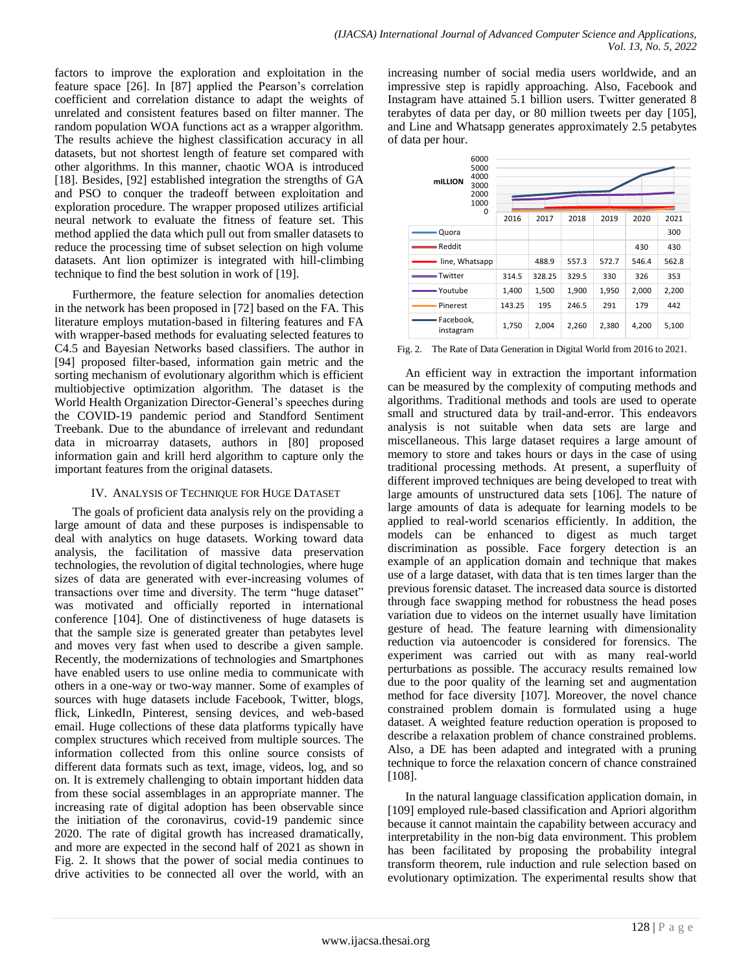factors to improve the exploration and exploitation in the feature space [26]. In [87] applied the Pearson's correlation coefficient and correlation distance to adapt the weights of unrelated and consistent features based on filter manner. The random population WOA functions act as a wrapper algorithm. The results achieve the highest classification accuracy in all datasets, but not shortest length of feature set compared with other algorithms. In this manner, chaotic WOA is introduced [18]. Besides, [92] established integration the strengths of GA and PSO to conquer the tradeoff between exploitation and exploration procedure. The wrapper proposed utilizes artificial neural network to evaluate the fitness of feature set. This method applied the data which pull out from smaller datasets to reduce the processing time of subset selection on high volume datasets. Ant lion optimizer is integrated with hill-climbing technique to find the best solution in work of [19].

Furthermore, the feature selection for anomalies detection in the network has been proposed in [72] based on the FA. This literature employs mutation-based in filtering features and FA with wrapper-based methods for evaluating selected features to C4.5 and Bayesian Networks based classifiers. The author in [94] proposed filter-based, information gain metric and the sorting mechanism of evolutionary algorithm which is efficient multiobjective optimization algorithm. The dataset is the World Health Organization Director-General"s speeches during the COVID-19 pandemic period and Standford Sentiment Treebank. Due to the abundance of irrelevant and redundant data in microarray datasets, authors in [80] proposed information gain and krill herd algorithm to capture only the important features from the original datasets.

#### IV. ANALYSIS OF TECHNIQUE FOR HUGE DATASET

The goals of proficient data analysis rely on the providing a large amount of data and these purposes is indispensable to deal with analytics on huge datasets. Working toward data analysis, the facilitation of massive data preservation technologies, the revolution of digital technologies, where huge sizes of data are generated with ever-increasing volumes of transactions over time and diversity. The term "huge dataset" was motivated and officially reported in international conference [104]. One of distinctiveness of huge datasets is that the sample size is generated greater than petabytes level and moves very fast when used to describe a given sample. Recently, the modernizations of technologies and Smartphones have enabled users to use online media to communicate with others in a one-way or two-way manner. Some of examples of sources with huge datasets include Facebook, Twitter, blogs, flick, LinkedIn, Pinterest, sensing devices, and web-based email. Huge collections of these data platforms typically have complex structures which received from multiple sources. The information collected from this online source consists of different data formats such as text, image, videos, log, and so on. It is extremely challenging to obtain important hidden data from these social assemblages in an appropriate manner. The increasing rate of digital adoption has been observable since the initiation of the coronavirus, covid-19 pandemic since 2020. The rate of digital growth has increased dramatically, and more are expected in the second half of 2021 as shown in Fig. 2. It shows that the power of social media continues to drive activities to be connected all over the world, with an increasing number of social media users worldwide, and an impressive step is rapidly approaching. Also, Facebook and Instagram have attained 5.1 billion users. Twitter generated 8 terabytes of data per day, or 80 million tweets per day [105], and Line and Whatsapp generates approximately 2.5 petabytes of data per hour.

| 6000<br>5000<br>4000<br><b>mILLION</b><br>3000<br>2000<br>1000 | 0      |        |       |       |       |       |  |  |
|----------------------------------------------------------------|--------|--------|-------|-------|-------|-------|--|--|
|                                                                | 2016   | 2017   | 2018  | 2019  | 2020  | 2021  |  |  |
| Quora                                                          |        |        |       |       |       | 300   |  |  |
| Reddit                                                         |        |        |       |       | 430   | 430   |  |  |
| line, Whatsapp                                                 |        | 488.9  | 557.3 | 572.7 | 546.4 | 562.8 |  |  |
| Twitter                                                        | 314.5  | 328.25 | 329.5 | 330   | 326   | 353   |  |  |
| - Youtube                                                      | 1,400  | 1,500  | 1,900 | 1,950 | 2,000 | 2,200 |  |  |
| Pinerest                                                       | 143.25 | 195    | 246.5 | 291   | 179   | 442   |  |  |
| Facebook,<br>instagram                                         | 1,750  | 2,004  | 2,260 | 2,380 | 4,200 | 5,100 |  |  |

Fig. 2. The Rate of Data Generation in Digital World from 2016 to 2021.

An efficient way in extraction the important information can be measured by the complexity of computing methods and algorithms. Traditional methods and tools are used to operate small and structured data by trail-and-error. This endeavors analysis is not suitable when data sets are large and miscellaneous. This large dataset requires a large amount of memory to store and takes hours or days in the case of using traditional processing methods. At present, a superfluity of different improved techniques are being developed to treat with large amounts of unstructured data sets [106]. The nature of large amounts of data is adequate for learning models to be applied to real-world scenarios efficiently. In addition, the models can be enhanced to digest as much target discrimination as possible. Face forgery detection is an example of an application domain and technique that makes use of a large dataset, with data that is ten times larger than the previous forensic dataset. The increased data source is distorted through face swapping method for robustness the head poses variation due to videos on the internet usually have limitation gesture of head. The feature learning with dimensionality reduction via autoencoder is considered for forensics. The experiment was carried out with as many real-world perturbations as possible. The accuracy results remained low due to the poor quality of the learning set and augmentation method for face diversity [107]. Moreover, the novel chance constrained problem domain is formulated using a huge dataset. A weighted feature reduction operation is proposed to describe a relaxation problem of chance constrained problems. Also, a DE has been adapted and integrated with a pruning technique to force the relaxation concern of chance constrained [108].

In the natural language classification application domain, in [109] employed rule-based classification and Apriori algorithm because it cannot maintain the capability between accuracy and interpretability in the non-big data environment. This problem has been facilitated by proposing the probability integral transform theorem, rule induction and rule selection based on evolutionary optimization. The experimental results show that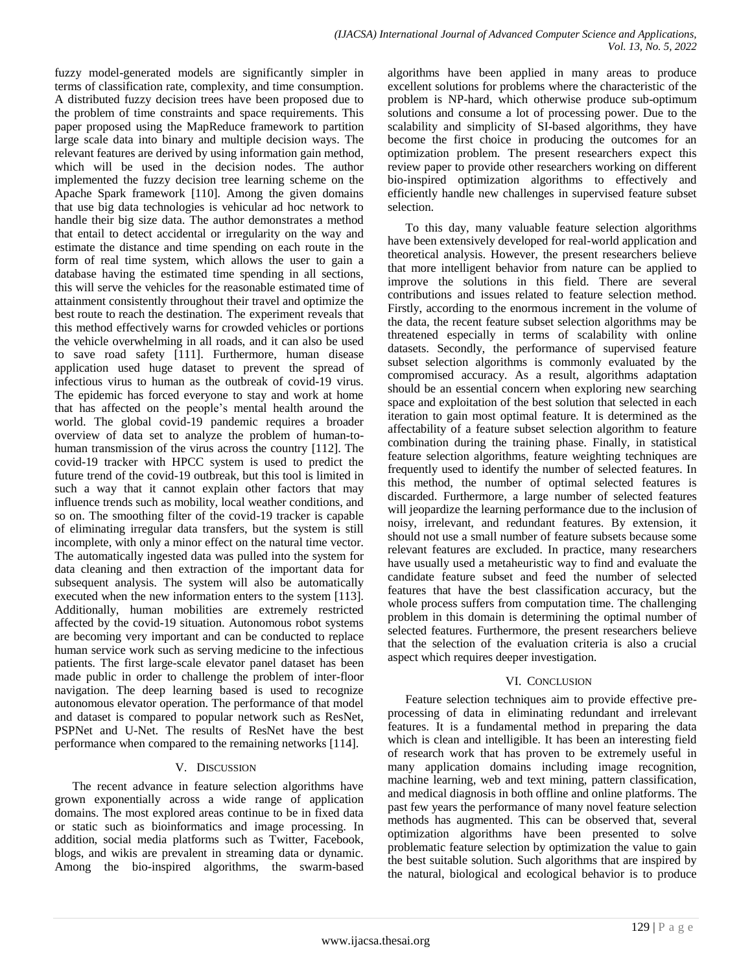fuzzy model-generated models are significantly simpler in terms of classification rate, complexity, and time consumption. A distributed fuzzy decision trees have been proposed due to the problem of time constraints and space requirements. This paper proposed using the MapReduce framework to partition large scale data into binary and multiple decision ways. The relevant features are derived by using information gain method, which will be used in the decision nodes. The author implemented the fuzzy decision tree learning scheme on the Apache Spark framework [110]. Among the given domains that use big data technologies is vehicular ad hoc network to handle their big size data. The author demonstrates a method that entail to detect accidental or irregularity on the way and estimate the distance and time spending on each route in the form of real time system, which allows the user to gain a database having the estimated time spending in all sections, this will serve the vehicles for the reasonable estimated time of attainment consistently throughout their travel and optimize the best route to reach the destination. The experiment reveals that this method effectively warns for crowded vehicles or portions the vehicle overwhelming in all roads, and it can also be used to save road safety [111]. Furthermore, human disease application used huge dataset to prevent the spread of infectious virus to human as the outbreak of covid-19 virus. The epidemic has forced everyone to stay and work at home that has affected on the people"s mental health around the world. The global covid-19 pandemic requires a broader overview of data set to analyze the problem of human-tohuman transmission of the virus across the country [112]. The covid-19 tracker with HPCC system is used to predict the future trend of the covid-19 outbreak, but this tool is limited in such a way that it cannot explain other factors that may influence trends such as mobility, local weather conditions, and so on. The smoothing filter of the covid-19 tracker is capable of eliminating irregular data transfers, but the system is still incomplete, with only a minor effect on the natural time vector. The automatically ingested data was pulled into the system for data cleaning and then extraction of the important data for subsequent analysis. The system will also be automatically executed when the new information enters to the system [113]. Additionally, human mobilities are extremely restricted affected by the covid-19 situation. Autonomous robot systems are becoming very important and can be conducted to replace human service work such as serving medicine to the infectious patients. The first large-scale elevator panel dataset has been made public in order to challenge the problem of inter-floor navigation. The deep learning based is used to recognize autonomous elevator operation. The performance of that model and dataset is compared to popular network such as ResNet, PSPNet and U-Net. The results of ResNet have the best performance when compared to the remaining networks [114].

#### V. DISCUSSION

The recent advance in feature selection algorithms have grown exponentially across a wide range of application domains. The most explored areas continue to be in fixed data or static such as bioinformatics and image processing. In addition, social media platforms such as Twitter, Facebook, blogs, and wikis are prevalent in streaming data or dynamic. Among the bio-inspired algorithms, the swarm-based algorithms have been applied in many areas to produce excellent solutions for problems where the characteristic of the problem is NP-hard, which otherwise produce sub-optimum solutions and consume a lot of processing power. Due to the scalability and simplicity of SI-based algorithms, they have become the first choice in producing the outcomes for an optimization problem. The present researchers expect this review paper to provide other researchers working on different bio-inspired optimization algorithms to effectively and efficiently handle new challenges in supervised feature subset selection.

To this day, many valuable feature selection algorithms have been extensively developed for real-world application and theoretical analysis. However, the present researchers believe that more intelligent behavior from nature can be applied to improve the solutions in this field. There are several contributions and issues related to feature selection method. Firstly, according to the enormous increment in the volume of the data, the recent feature subset selection algorithms may be threatened especially in terms of scalability with online datasets. Secondly, the performance of supervised feature subset selection algorithms is commonly evaluated by the compromised accuracy. As a result, algorithms adaptation should be an essential concern when exploring new searching space and exploitation of the best solution that selected in each iteration to gain most optimal feature. It is determined as the affectability of a feature subset selection algorithm to feature combination during the training phase. Finally, in statistical feature selection algorithms, feature weighting techniques are frequently used to identify the number of selected features. In this method, the number of optimal selected features is discarded. Furthermore, a large number of selected features will jeopardize the learning performance due to the inclusion of noisy, irrelevant, and redundant features. By extension, it should not use a small number of feature subsets because some relevant features are excluded. In practice, many researchers have usually used a metaheuristic way to find and evaluate the candidate feature subset and feed the number of selected features that have the best classification accuracy, but the whole process suffers from computation time. The challenging problem in this domain is determining the optimal number of selected features. Furthermore, the present researchers believe that the selection of the evaluation criteria is also a crucial aspect which requires deeper investigation.

#### VI. CONCLUSION

Feature selection techniques aim to provide effective preprocessing of data in eliminating redundant and irrelevant features. It is a fundamental method in preparing the data which is clean and intelligible. It has been an interesting field of research work that has proven to be extremely useful in many application domains including image recognition, machine learning, web and text mining, pattern classification, and medical diagnosis in both offline and online platforms. The past few years the performance of many novel feature selection methods has augmented. This can be observed that, several optimization algorithms have been presented to solve problematic feature selection by optimization the value to gain the best suitable solution. Such algorithms that are inspired by the natural, biological and ecological behavior is to produce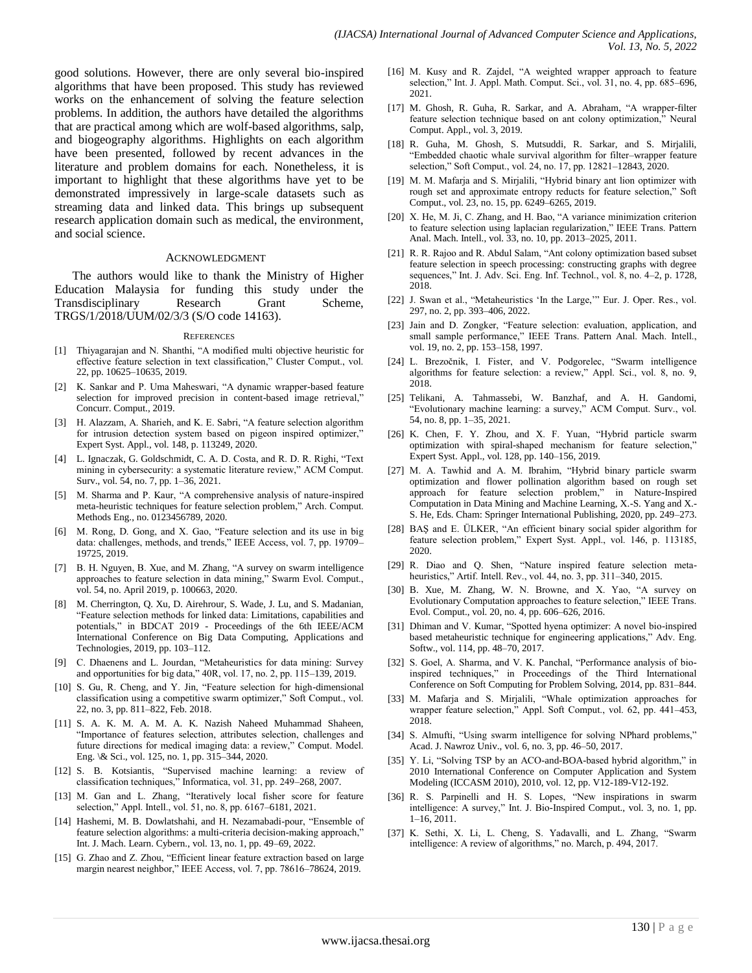good solutions. However, there are only several bio-inspired algorithms that have been proposed. This study has reviewed works on the enhancement of solving the feature selection problems. In addition, the authors have detailed the algorithms that are practical among which are wolf-based algorithms, salp, and biogeography algorithms. Highlights on each algorithm have been presented, followed by recent advances in the literature and problem domains for each. Nonetheless, it is important to highlight that these algorithms have yet to be demonstrated impressively in large-scale datasets such as streaming data and linked data. This brings up subsequent research application domain such as medical, the environment, and social science.

#### ACKNOWLEDGMENT

The authors would like to thank the Ministry of Higher Education Malaysia for funding this study under the Transdisciplinary Research Grant Scheme, TRGS/1/2018/UUM/02/3/3 (S/O code 14163).

#### **REFERENCES**

- [1] Thiyagarajan and N. Shanthi, "A modified multi objective heuristic for effective feature selection in text classification," Cluster Comput., vol. 22, pp. 10625–10635, 2019.
- [2] K. Sankar and P. Uma Maheswari, "A dynamic wrapper-based feature selection for improved precision in content-based image retrieval," Concurr. Comput., 2019.
- [3] H. Alazzam, A. Sharieh, and K. E. Sabri, "A feature selection algorithm for intrusion detection system based on pigeon inspired optimizer," Expert Syst. Appl., vol. 148, p. 113249, 2020.
- [4] L. Ignaczak, G. Goldschmidt, C. A. D. Costa, and R. D. R. Righi, "Text mining in cybersecurity: a systematic literature review," ACM Comput. Surv., vol. 54, no. 7, pp. 1–36, 2021.
- [5] M. Sharma and P. Kaur, "A comprehensive analysis of nature-inspired meta-heuristic techniques for feature selection problem," Arch. Comput. Methods Eng., no. 0123456789, 2020.
- [6] M. Rong, D. Gong, and X. Gao, "Feature selection and its use in big data: challenges, methods, and trends," IEEE Access, vol. 7, pp. 19709– 19725, 2019.
- [7] B. H. Nguyen, B. Xue, and M. Zhang, "A survey on swarm intelligence approaches to feature selection in data mining," Swarm Evol. Comput., vol. 54, no. April 2019, p. 100663, 2020.
- [8] M. Cherrington, Q. Xu, D. Airehrour, S. Wade, J. Lu, and S. Madanian, "Feature selection methods for linked data: Limitations, capabilities and potentials," in BDCAT 2019 - Proceedings of the 6th IEEE/ACM International Conference on Big Data Computing, Applications and Technologies, 2019, pp. 103–112.
- [9] C. Dhaenens and L. Jourdan, "Metaheuristics for data mining: Survey and opportunities for big data," 40R, vol. 17, no. 2, pp. 115–139, 2019.
- [10] S. Gu, R. Cheng, and Y. Jin, "Feature selection for high-dimensional classification using a competitive swarm optimizer," Soft Comput., vol. 22, no. 3, pp. 811–822, Feb. 2018.
- [11] S. A. K. M. A. M. A. K. Nazish Naheed Muhammad Shaheen, "Importance of features selection, attributes selection, challenges and future directions for medical imaging data: a review," Comput. Model. Eng. \& Sci., vol. 125, no. 1, pp. 315–344, 2020.
- [12] S. B. Kotsiantis, "Supervised machine learning: a review of classification techniques," Informatica, vol. 31, pp. 249–268, 2007.
- [13] M. Gan and L. Zhang, "Iteratively local fisher score for feature selection," Appl. Intell., vol. 51, no. 8, pp. 6167–6181, 2021.
- [14] Hashemi, M. B. Dowlatshahi, and H. Nezamabadi-pour, "Ensemble of feature selection algorithms: a multi-criteria decision-making approach," Int. J. Mach. Learn. Cybern., vol. 13, no. 1, pp. 49–69, 2022.
- [15] G. Zhao and Z. Zhou, "Efficient linear feature extraction based on large margin nearest neighbor," IEEE Access, vol. 7, pp. 78616–78624, 2019.
- [16] M. Kusy and R. Zajdel, "A weighted wrapper approach to feature selection," Int. J. Appl. Math. Comput. Sci., vol. 31, no. 4, pp. 685–696, 2021.
- [17] M. Ghosh, R. Guha, R. Sarkar, and A. Abraham, "A wrapper-filter feature selection technique based on ant colony optimization," Neural Comput. Appl., vol. 3, 2019.
- [18] R. Guha, M. Ghosh, S. Mutsuddi, R. Sarkar, and S. Mirjalili, "Embedded chaotic whale survival algorithm for filter–wrapper feature selection," Soft Comput., vol. 24, no. 17, pp. 12821–12843, 2020.
- [19] M. M. Mafarja and S. Mirjalili, "Hybrid binary ant lion optimizer with rough set and approximate entropy reducts for feature selection," Soft Comput., vol. 23, no. 15, pp. 6249–6265, 2019.
- [20] X. He, M. Ji, C. Zhang, and H. Bao, "A variance minimization criterion to feature selection using laplacian regularization," IEEE Trans. Pattern Anal. Mach. Intell., vol. 33, no. 10, pp. 2013–2025, 2011.
- [21] R. R. Rajoo and R. Abdul Salam, "Ant colony optimization based subset feature selection in speech processing: constructing graphs with degree sequences," Int. J. Adv. Sci. Eng. Inf. Technol., vol. 8, no. 4–2, p. 1728, 2018.
- [22] J. Swan et al., "Metaheuristics 'In the Large," Eur. J. Oper. Res., vol. 297, no. 2, pp. 393–406, 2022.
- [23] Jain and D. Zongker, "Feature selection: evaluation, application, and small sample performance," IEEE Trans. Pattern Anal. Mach. Intell., vol. 19, no. 2, pp. 153–158, 1997.
- [24] L. Brezočnik, I. Fister, and V. Podgorelec, "Swarm intelligence algorithms for feature selection: a review," Appl. Sci., vol. 8, no. 9, 2018.
- [25] Telikani, A. Tahmassebi, W. Banzhaf, and A. H. Gandomi, "Evolutionary machine learning: a survey," ACM Comput. Surv., vol. 54, no. 8, pp. 1–35, 2021.
- [26] K. Chen, F. Y. Zhou, and X. F. Yuan, "Hybrid particle swarm optimization with spiral-shaped mechanism for feature selection," Expert Syst. Appl., vol. 128, pp. 140–156, 2019.
- [27] M. A. Tawhid and A. M. Ibrahim, "Hybrid binary particle swarm optimization and flower pollination algorithm based on rough set approach for feature selection problem," in Nature-Inspired Computation in Data Mining and Machine Learning, X.-S. Yang and X.- S. He, Eds. Cham: Springer International Publishing, 2020, pp. 249–273.
- [28] BAŞ and E. ÜLKER, "An efficient binary social spider algorithm for feature selection problem," Expert Syst. Appl., vol. 146, p. 113185, 2020.
- [29] R. Diao and Q. Shen, "Nature inspired feature selection metaheuristics," Artif. Intell. Rev., vol. 44, no. 3, pp. 311–340, 2015.
- [30] B. Xue, M. Zhang, W. N. Browne, and X. Yao, "A survey on Evolutionary Computation approaches to feature selection," IEEE Trans. Evol. Comput., vol. 20, no. 4, pp. 606–626, 2016.
- [31] Dhiman and V. Kumar, "Spotted hyena optimizer: A novel bio-inspired based metaheuristic technique for engineering applications," Adv. Eng. Softw., vol. 114, pp. 48–70, 2017.
- [32] S. Goel, A. Sharma, and V. K. Panchal, "Performance analysis of bioinspired techniques," in Proceedings of the Third International Conference on Soft Computing for Problem Solving, 2014, pp. 831–844.
- [33] M. Mafarja and S. Mirjalili, "Whale optimization approaches for wrapper feature selection," Appl. Soft Comput., vol. 62, pp. 441–453, 2018.
- [34] S. Almufti, "Using swarm intelligence for solving NPhard problems," Acad. J. Nawroz Univ., vol. 6, no. 3, pp. 46–50, 2017.
- [35] Y. Li, "Solving TSP by an ACO-and-BOA-based hybrid algorithm," in 2010 International Conference on Computer Application and System Modeling (ICCASM 2010), 2010, vol. 12, pp. V12-189-V12-192.
- [36] R. S. Parpinelli and H. S. Lopes, "New inspirations in swarm intelligence: A survey," Int. J. Bio-Inspired Comput., vol. 3, no. 1, pp. 1–16, 2011.
- [37] K. Sethi, X. Li, L. Cheng, S. Yadavalli, and L. Zhang, "Swarm intelligence: A review of algorithms," no. March, p. 494, 2017.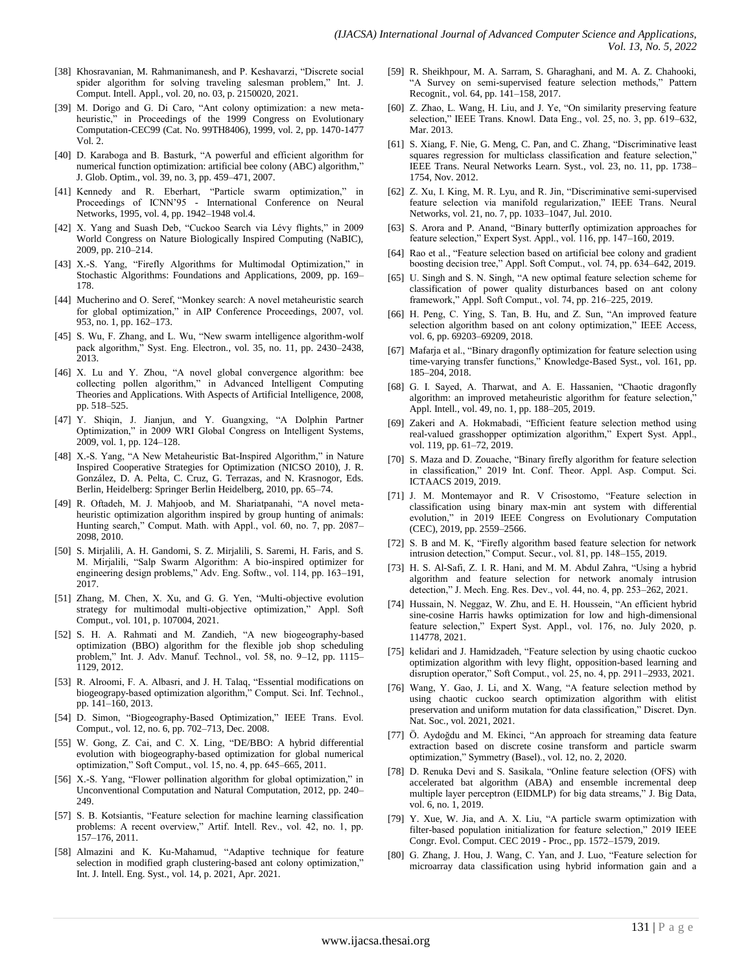- [38] Khosravanian, M. Rahmanimanesh, and P. Keshavarzi, "Discrete social spider algorithm for solving traveling salesman problem," Int. J. Comput. Intell. Appl., vol. 20, no. 03, p. 2150020, 2021.
- [39] M. Dorigo and G. Di Caro, "Ant colony optimization: a new metaheuristic," in Proceedings of the 1999 Congress on Evolutionary Computation-CEC99 (Cat. No. 99TH8406), 1999, vol. 2, pp. 1470-1477 Vol. 2.
- [40] D. Karaboga and B. Basturk, "A powerful and efficient algorithm for numerical function optimization: artificial bee colony (ABC) algorithm," J. Glob. Optim., vol. 39, no. 3, pp. 459–471, 2007.
- [41] Kennedy and R. Eberhart, "Particle swarm optimization," in Proceedings of ICNN"95 - International Conference on Neural Networks, 1995, vol. 4, pp. 1942–1948 vol.4.
- [42] X. Yang and Suash Deb, "Cuckoo Search via Lévy flights," in 2009 World Congress on Nature Biologically Inspired Computing (NaBIC), 2009, pp. 210–214.
- [43] X.-S. Yang, "Firefly Algorithms for Multimodal Optimization," in Stochastic Algorithms: Foundations and Applications, 2009, pp. 169– 178.
- [44] Mucherino and O. Seref, "Monkey search: A novel metaheuristic search for global optimization," in AIP Conference Proceedings, 2007, vol. 953, no. 1, pp. 162–173.
- [45] S. Wu, F. Zhang, and L. Wu, "New swarm intelligence algorithm-wolf pack algorithm," Syst. Eng. Electron., vol. 35, no. 11, pp. 2430–2438, 2013.
- [46] X. Lu and Y. Zhou, "A novel global convergence algorithm: bee collecting pollen algorithm," in Advanced Intelligent Computing Theories and Applications. With Aspects of Artificial Intelligence, 2008, pp. 518–525.
- [47] Y. Shiqin, J. Jianjun, and Y. Guangxing, "A Dolphin Partner Optimization," in 2009 WRI Global Congress on Intelligent Systems, 2009, vol. 1, pp. 124–128.
- [48] X.-S. Yang, "A New Metaheuristic Bat-Inspired Algorithm," in Nature Inspired Cooperative Strategies for Optimization (NICSO 2010), J. R. González, D. A. Pelta, C. Cruz, G. Terrazas, and N. Krasnogor, Eds. Berlin, Heidelberg: Springer Berlin Heidelberg, 2010, pp. 65–74.
- [49] R. Oftadeh, M. J. Mahjoob, and M. Shariatpanahi, "A novel metaheuristic optimization algorithm inspired by group hunting of animals: Hunting search," Comput. Math. with Appl., vol. 60, no. 7, pp. 2087– 2098, 2010.
- [50] S. Mirjalili, A. H. Gandomi, S. Z. Mirjalili, S. Saremi, H. Faris, and S. M. Mirjalili, "Salp Swarm Algorithm: A bio-inspired optimizer for engineering design problems," Adv. Eng. Softw., vol. 114, pp. 163–191, 2017.
- [51] Zhang, M. Chen, X. Xu, and G. G. Yen, "Multi-objective evolution strategy for multimodal multi-objective optimization," Appl. Soft Comput., vol. 101, p. 107004, 2021.
- [52] S. H. A. Rahmati and M. Zandieh, "A new biogeography-based optimization (BBO) algorithm for the flexible job shop scheduling problem," Int. J. Adv. Manuf. Technol., vol. 58, no. 9–12, pp. 1115– 1129, 2012.
- [53] R. Alroomi, F. A. Albasri, and J. H. Talaq, "Essential modifications on biogeograpy-based optimization algorithm," Comput. Sci. Inf. Technol., pp. 141–160, 2013.
- [54] D. Simon, "Biogeography-Based Optimization," IEEE Trans. Evol. Comput., vol. 12, no. 6, pp. 702–713, Dec. 2008.
- [55] W. Gong, Z. Cai, and C. X. Ling, "DE/BBO: A hybrid differential evolution with biogeography-based optimization for global numerical optimization," Soft Comput., vol. 15, no. 4, pp. 645–665, 2011.
- [56] X.-S. Yang, "Flower pollination algorithm for global optimization," in Unconventional Computation and Natural Computation, 2012, pp. 240– 249
- [57] S. B. Kotsiantis, "Feature selection for machine learning classification problems: A recent overview," Artif. Intell. Rev., vol. 42, no. 1, pp. 157–176, 2011.
- [58] Almazini and K. Ku-Mahamud, "Adaptive technique for feature selection in modified graph clustering-based ant colony optimization," Int. J. Intell. Eng. Syst., vol. 14, p. 2021, Apr. 2021.
- [59] R. Sheikhpour, M. A. Sarram, S. Gharaghani, and M. A. Z. Chahooki, "A Survey on semi-supervised feature selection methods," Pattern Recognit., vol. 64, pp. 141–158, 2017.
- [60] Z. Zhao, L. Wang, H. Liu, and J. Ye, "On similarity preserving feature selection," IEEE Trans. Knowl. Data Eng., vol. 25, no. 3, pp. 619–632, Mar. 2013.
- [61] S. Xiang, F. Nie, G. Meng, C. Pan, and C. Zhang, "Discriminative least squares regression for multiclass classification and feature selection," IEEE Trans. Neural Networks Learn. Syst., vol. 23, no. 11, pp. 1738– 1754, Nov. 2012.
- [62] Z. Xu, I. King, M. R. Lyu, and R. Jin, "Discriminative semi-supervised feature selection via manifold regularization," IEEE Trans. Neural Networks, vol. 21, no. 7, pp. 1033–1047, Jul. 2010.
- [63] S. Arora and P. Anand, "Binary butterfly optimization approaches for feature selection," Expert Syst. Appl., vol. 116, pp. 147–160, 2019.
- [64] Rao et al., "Feature selection based on artificial bee colony and gradient boosting decision tree," Appl. Soft Comput., vol. 74, pp. 634–642, 2019.
- [65] U. Singh and S. N. Singh, "A new optimal feature selection scheme for classification of power quality disturbances based on ant colony framework," Appl. Soft Comput., vol. 74, pp. 216–225, 2019.
- [66] H. Peng, C. Ying, S. Tan, B. Hu, and Z. Sun, "An improved feature selection algorithm based on ant colony optimization," IEEE Access, vol. 6, pp. 69203–69209, 2018.
- [67] Mafarja et al., "Binary dragonfly optimization for feature selection using time-varying transfer functions," Knowledge-Based Syst., vol. 161, pp. 185–204, 2018.
- [68] G. I. Sayed, A. Tharwat, and A. E. Hassanien, "Chaotic dragonfly algorithm: an improved metaheuristic algorithm for feature selection," Appl. Intell., vol. 49, no. 1, pp. 188–205, 2019.
- [69] Zakeri and A. Hokmabadi, "Efficient feature selection method using real-valued grasshopper optimization algorithm," Expert Syst. Appl., vol. 119, pp. 61–72, 2019.
- [70] S. Maza and D. Zouache, "Binary firefly algorithm for feature selection in classification," 2019 Int. Conf. Theor. Appl. Asp. Comput. Sci. ICTAACS 2019, 2019.
- [71] J. M. Montemayor and R. V Crisostomo, "Feature selection in classification using binary max-min ant system with differential evolution," in 2019 IEEE Congress on Evolutionary Computation (CEC), 2019, pp. 2559–2566.
- [72] S. B and M. K, "Firefly algorithm based feature selection for network intrusion detection," Comput. Secur., vol. 81, pp. 148–155, 2019.
- [73] H. S. Al-Safi, Z. I. R. Hani, and M. M. Abdul Zahra, "Using a hybrid algorithm and feature selection for network anomaly intrusion detection," J. Mech. Eng. Res. Dev., vol. 44, no. 4, pp. 253–262, 2021.
- [74] Hussain, N. Neggaz, W. Zhu, and E. H. Houssein, "An efficient hybrid sine-cosine Harris hawks optimization for low and high-dimensional feature selection," Expert Syst. Appl., vol. 176, no. July 2020, p. 114778, 2021.
- [75] kelidari and J. Hamidzadeh, "Feature selection by using chaotic cuckoo optimization algorithm with levy flight, opposition-based learning and disruption operator," Soft Comput., vol. 25, no. 4, pp. 2911–2933, 2021.
- [76] Wang, Y. Gao, J. Li, and X. Wang, "A feature selection method by using chaotic cuckoo search optimization algorithm with elitist preservation and uniform mutation for data classification," Discret. Dyn. Nat. Soc., vol. 2021, 2021.
- [77] Ö. Aydoğdu and M. Ekinci, "An approach for streaming data feature extraction based on discrete cosine transform and particle swarm optimization," Symmetry (Basel)., vol. 12, no. 2, 2020.
- [78] D. Renuka Devi and S. Sasikala, "Online feature selection (OFS) with accelerated bat algorithm (ABA) and ensemble incremental deep multiple layer perceptron (EIDMLP) for big data streams," J. Big Data, vol. 6, no. 1, 2019.
- [79] Y. Xue, W. Jia, and A. X. Liu, "A particle swarm optimization with filter-based population initialization for feature selection," 2019 IEEE Congr. Evol. Comput. CEC 2019 - Proc., pp. 1572–1579, 2019.
- [80] G. Zhang, J. Hou, J. Wang, C. Yan, and J. Luo, "Feature selection for microarray data classification using hybrid information gain and a